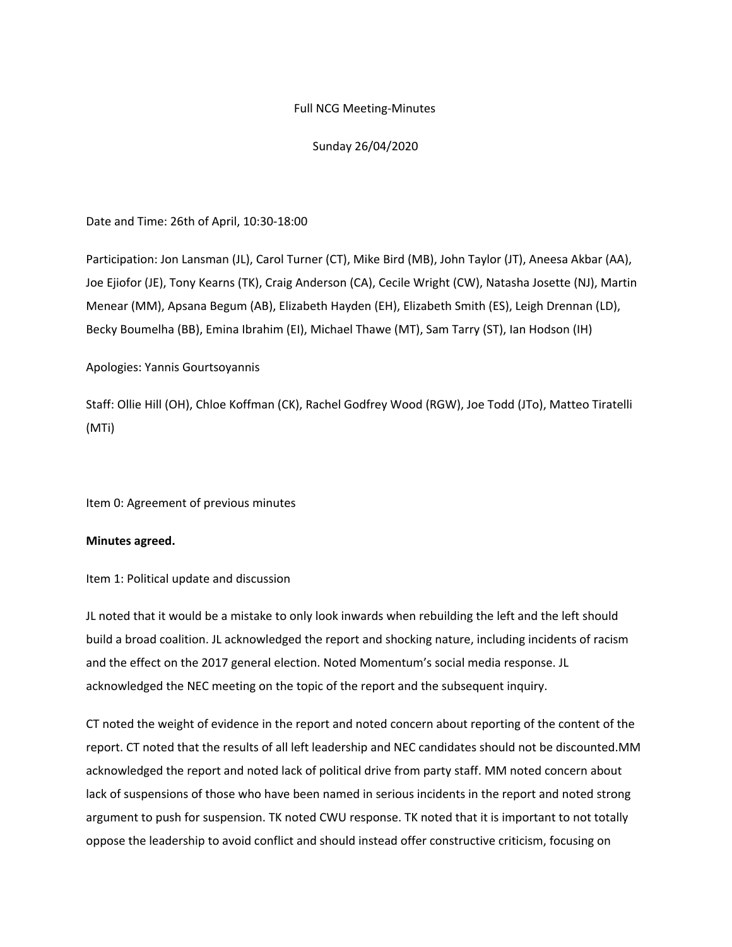## Full NCG Meeting-Minutes

# Sunday 26/04/2020

## Date and Time: 26th of April, 10:30-18:00

Participation: Jon Lansman (JL), Carol Turner (CT), Mike Bird (MB), John Taylor (JT), Aneesa Akbar (AA), Joe Ejiofor (JE), Tony Kearns (TK), Craig Anderson (CA), Cecile Wright (CW), Natasha Josette (NJ), Martin Menear (MM), Apsana Begum (AB), Elizabeth Hayden (EH), Elizabeth Smith (ES), Leigh Drennan (LD), Becky Boumelha (BB), Emina Ibrahim (EI), Michael Thawe (MT), Sam Tarry (ST), Ian Hodson (IH)

# Apologies: Yannis Gourtsoyannis

Staff: Ollie Hill (OH), Chloe Koffman (CK), Rachel Godfrey Wood (RGW), Joe Todd (JTo), Matteo Tiratelli (MTi)

Item 0: Agreement of previous minutes

## **Minutes agreed.**

Item 1: Political update and discussion

JL noted that it would be a mistake to only look inwards when rebuilding the left and the left should build a broad coalition. JL acknowledged the report and shocking nature, including incidents of racism and the effect on the 2017 general election. Noted Momentum's social media response. JL acknowledged the NEC meeting on the topic of the report and the subsequent inquiry.

CT noted the weight of evidence in the report and noted concern about reporting of the content of the report. CT noted that the results of all left leadership and NEC candidates should not be discounted.MM acknowledged the report and noted lack of political drive from party staff. MM noted concern about lack of suspensions of those who have been named in serious incidents in the report and noted strong argument to push for suspension. TK noted CWU response. TK noted that it is important to not totally oppose the leadership to avoid conflict and should instead offer constructive criticism, focusing on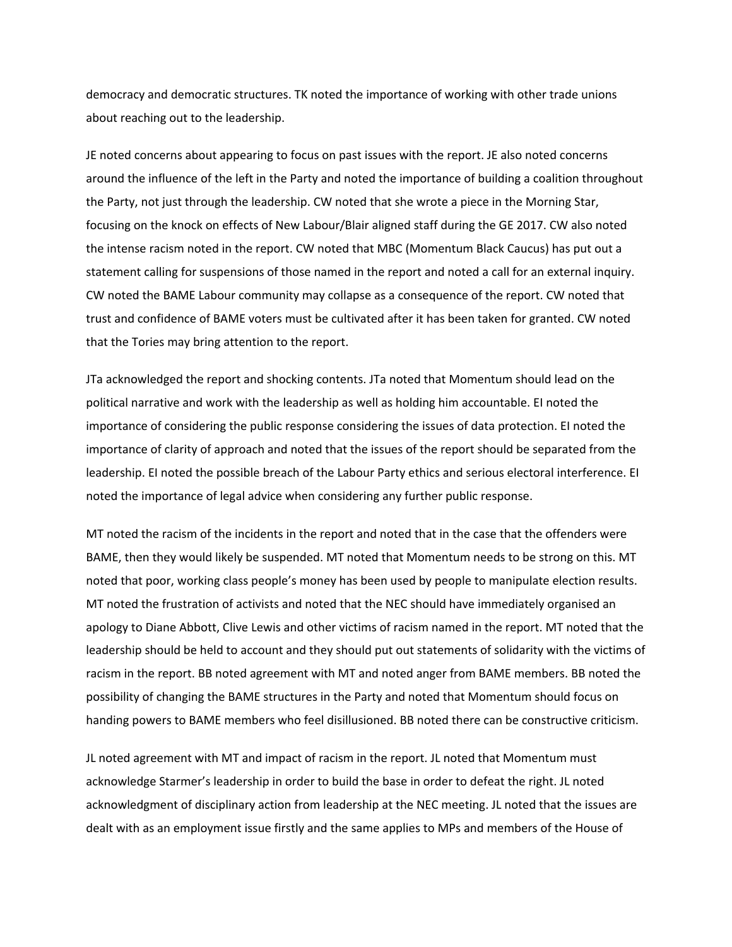democracy and democratic structures. TK noted the importance of working with other trade unions about reaching out to the leadership.

JE noted concerns about appearing to focus on past issues with the report. JE also noted concerns around the influence of the left in the Party and noted the importance of building a coalition throughout the Party, not just through the leadership. CW noted that she wrote a piece in the Morning Star, focusing on the knock on effects of New Labour/Blair aligned staff during the GE 2017. CW also noted the intense racism noted in the report. CW noted that MBC (Momentum Black Caucus) has put out a statement calling for suspensions of those named in the report and noted a call for an external inquiry. CW noted the BAME Labour community may collapse as a consequence of the report. CW noted that trust and confidence of BAME voters must be cultivated after it has been taken for granted. CW noted that the Tories may bring attention to the report.

JTa acknowledged the report and shocking contents. JTa noted that Momentum should lead on the political narrative and work with the leadership as well as holding him accountable. EI noted the importance of considering the public response considering the issues of data protection. EI noted the importance of clarity of approach and noted that the issues of the report should be separated from the leadership. EI noted the possible breach of the Labour Party ethics and serious electoral interference. EI noted the importance of legal advice when considering any further public response.

MT noted the racism of the incidents in the report and noted that in the case that the offenders were BAME, then they would likely be suspended. MT noted that Momentum needs to be strong on this. MT noted that poor, working class people's money has been used by people to manipulate election results. MT noted the frustration of activists and noted that the NEC should have immediately organised an apology to Diane Abbott, Clive Lewis and other victims of racism named in the report. MT noted that the leadership should be held to account and they should put out statements of solidarity with the victims of racism in the report. BB noted agreement with MT and noted anger from BAME members. BB noted the possibility of changing the BAME structures in the Party and noted that Momentum should focus on handing powers to BAME members who feel disillusioned. BB noted there can be constructive criticism.

JL noted agreement with MT and impact of racism in the report. JL noted that Momentum must acknowledge Starmer's leadership in order to build the base in order to defeat the right. JL noted acknowledgment of disciplinary action from leadership at the NEC meeting. JL noted that the issues are dealt with as an employment issue firstly and the same applies to MPs and members of the House of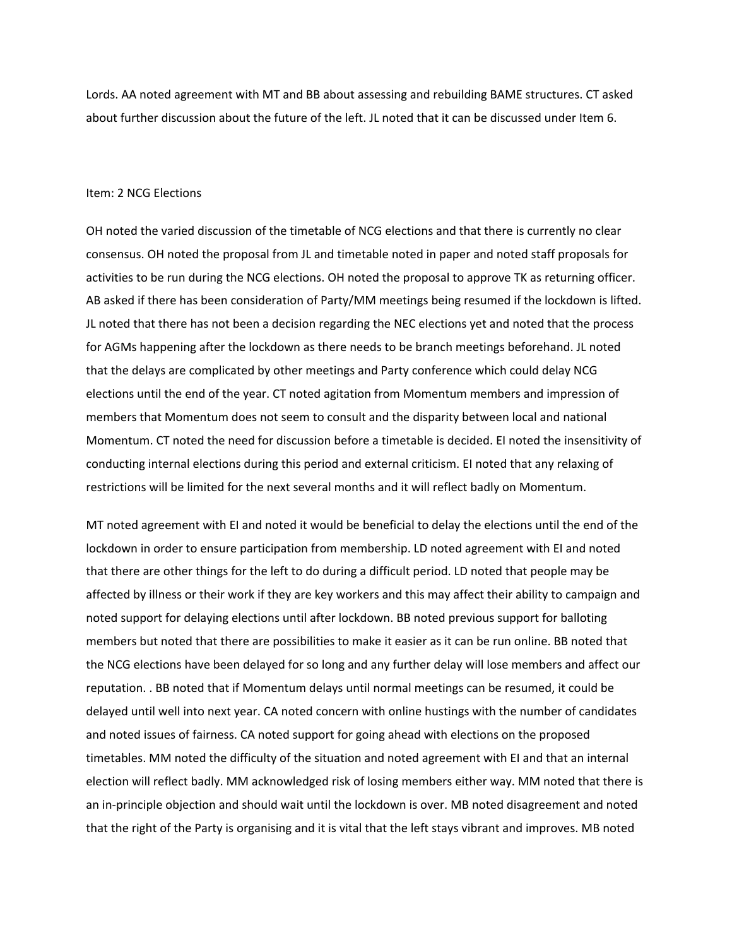Lords. AA noted agreement with MT and BB about assessing and rebuilding BAME structures. CT asked about further discussion about the future of the left. JL noted that it can be discussed under Item 6.

### Item: 2 NCG Elections

OH noted the varied discussion of the timetable of NCG elections and that there is currently no clear consensus. OH noted the proposal from JL and timetable noted in paper and noted staff proposals for activities to be run during the NCG elections. OH noted the proposal to approve TK as returning officer. AB asked if there has been consideration of Party/MM meetings being resumed if the lockdown is lifted. JL noted that there has not been a decision regarding the NEC elections yet and noted that the process for AGMs happening after the lockdown as there needs to be branch meetings beforehand. JL noted that the delays are complicated by other meetings and Party conference which could delay NCG elections until the end of the year. CT noted agitation from Momentum members and impression of members that Momentum does not seem to consult and the disparity between local and national Momentum. CT noted the need for discussion before a timetable is decided. EI noted the insensitivity of conducting internal elections during this period and external criticism. EI noted that any relaxing of restrictions will be limited for the next several months and it will reflect badly on Momentum.

MT noted agreement with EI and noted it would be beneficial to delay the elections until the end of the lockdown in order to ensure participation from membership. LD noted agreement with EI and noted that there are other things for the left to do during a difficult period. LD noted that people may be affected by illness or their work if they are key workers and this may affect their ability to campaign and noted support for delaying elections until after lockdown. BB noted previous support for balloting members but noted that there are possibilities to make it easier as it can be run online. BB noted that the NCG elections have been delayed for so long and any further delay will lose members and affect our reputation. . BB noted that if Momentum delays until normal meetings can be resumed, it could be delayed until well into next year. CA noted concern with online hustings with the number of candidates and noted issues of fairness. CA noted support for going ahead with elections on the proposed timetables. MM noted the difficulty of the situation and noted agreement with EI and that an internal election will reflect badly. MM acknowledged risk of losing members either way. MM noted that there is an in-principle objection and should wait until the lockdown is over. MB noted disagreement and noted that the right of the Party is organising and it is vital that the left stays vibrant and improves. MB noted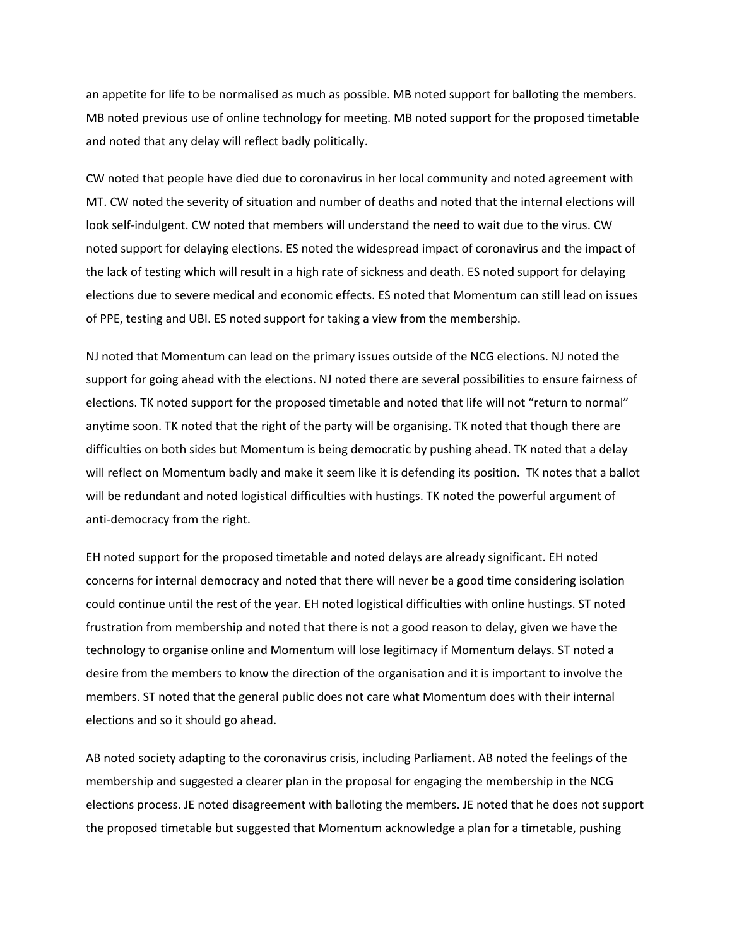an appetite for life to be normalised as much as possible. MB noted support for balloting the members. MB noted previous use of online technology for meeting. MB noted support for the proposed timetable and noted that any delay will reflect badly politically.

CW noted that people have died due to coronavirus in her local community and noted agreement with MT. CW noted the severity of situation and number of deaths and noted that the internal elections will look self-indulgent. CW noted that members will understand the need to wait due to the virus. CW noted support for delaying elections. ES noted the widespread impact of coronavirus and the impact of the lack of testing which will result in a high rate of sickness and death. ES noted support for delaying elections due to severe medical and economic effects. ES noted that Momentum can still lead on issues of PPE, testing and UBI. ES noted support for taking a view from the membership.

NJ noted that Momentum can lead on the primary issues outside of the NCG elections. NJ noted the support for going ahead with the elections. NJ noted there are several possibilities to ensure fairness of elections. TK noted support for the proposed timetable and noted that life will not "return to normal" anytime soon. TK noted that the right of the party will be organising. TK noted that though there are difficulties on both sides but Momentum is being democratic by pushing ahead. TK noted that a delay will reflect on Momentum badly and make it seem like it is defending its position. TK notes that a ballot will be redundant and noted logistical difficulties with hustings. TK noted the powerful argument of anti-democracy from the right.

EH noted support for the proposed timetable and noted delays are already significant. EH noted concerns for internal democracy and noted that there will never be a good time considering isolation could continue until the rest of the year. EH noted logistical difficulties with online hustings. ST noted frustration from membership and noted that there is not a good reason to delay, given we have the technology to organise online and Momentum will lose legitimacy if Momentum delays. ST noted a desire from the members to know the direction of the organisation and it is important to involve the members. ST noted that the general public does not care what Momentum does with their internal elections and so it should go ahead.

AB noted society adapting to the coronavirus crisis, including Parliament. AB noted the feelings of the membership and suggested a clearer plan in the proposal for engaging the membership in the NCG elections process. JE noted disagreement with balloting the members. JE noted that he does not support the proposed timetable but suggested that Momentum acknowledge a plan for a timetable, pushing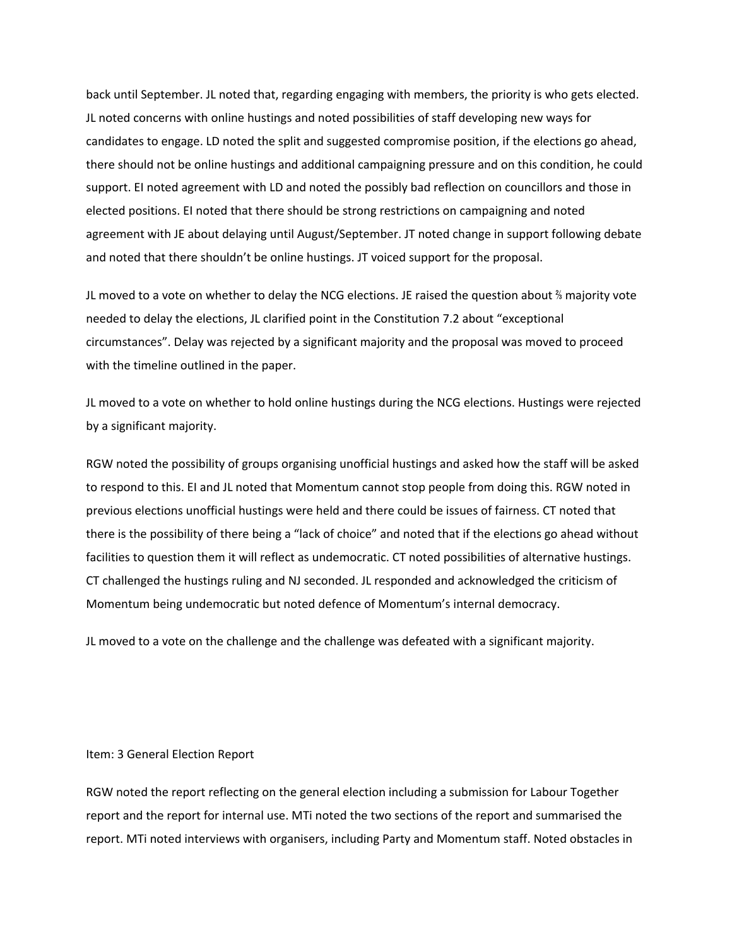back until September. JL noted that, regarding engaging with members, the priority is who gets elected. JL noted concerns with online hustings and noted possibilities of staff developing new ways for candidates to engage. LD noted the split and suggested compromise position, if the elections go ahead, there should not be online hustings and additional campaigning pressure and on this condition, he could support. EI noted agreement with LD and noted the possibly bad reflection on councillors and those in elected positions. EI noted that there should be strong restrictions on campaigning and noted agreement with JE about delaying until August/September. JT noted change in support following debate and noted that there shouldn't be online hustings. JT voiced support for the proposal.

JL moved to a vote on whether to delay the NCG elections. JE raised the question about ⅔ majority vote needed to delay the elections, JL clarified point in the Constitution 7.2 about "exceptional circumstances". Delay was rejected by a significant majority and the proposal was moved to proceed with the timeline outlined in the paper.

JL moved to a vote on whether to hold online hustings during the NCG elections. Hustings were rejected by a significant majority.

RGW noted the possibility of groups organising unofficial hustings and asked how the staff will be asked to respond to this. EI and JL noted that Momentum cannot stop people from doing this. RGW noted in previous elections unofficial hustings were held and there could be issues of fairness. CT noted that there is the possibility of there being a "lack of choice" and noted that if the elections go ahead without facilities to question them it will reflect as undemocratic. CT noted possibilities of alternative hustings. CT challenged the hustings ruling and NJ seconded. JL responded and acknowledged the criticism of Momentum being undemocratic but noted defence of Momentum's internal democracy.

JL moved to a vote on the challenge and the challenge was defeated with a significant majority.

### Item: 3 General Election Report

RGW noted the report reflecting on the general election including a submission for Labour Together report and the report for internal use. MTi noted the two sections of the report and summarised the report. MTi noted interviews with organisers, including Party and Momentum staff. Noted obstacles in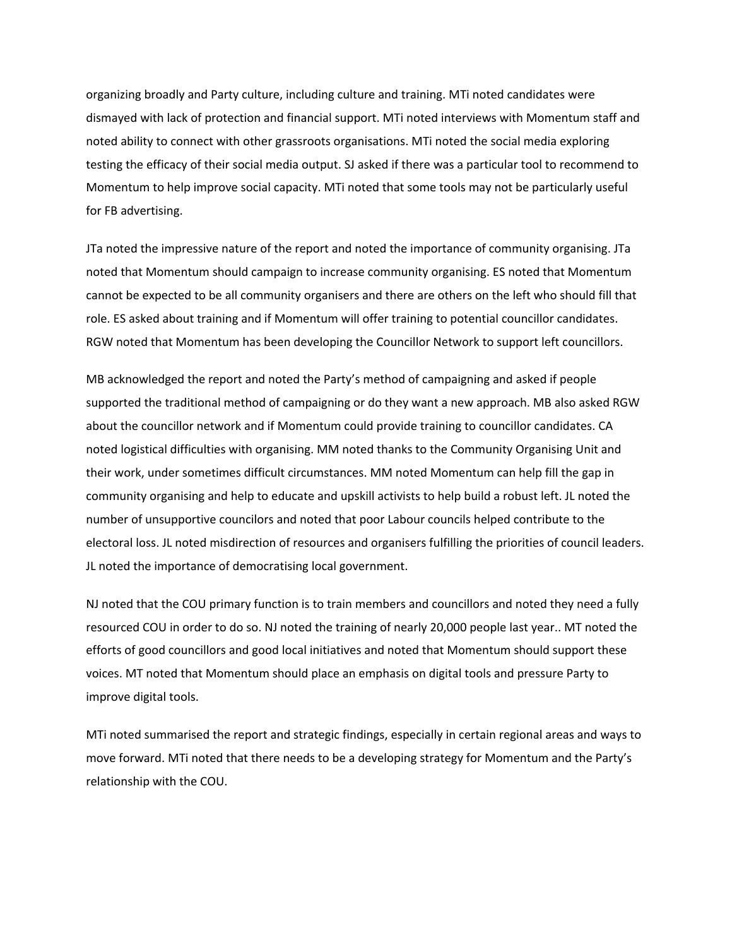organizing broadly and Party culture, including culture and training. MTi noted candidates were dismayed with lack of protection and financial support. MTi noted interviews with Momentum staff and noted ability to connect with other grassroots organisations. MTi noted the social media exploring testing the efficacy of their social media output. SJ asked if there was a particular tool to recommend to Momentum to help improve social capacity. MTi noted that some tools may not be particularly useful for FB advertising.

JTa noted the impressive nature of the report and noted the importance of community organising. JTa noted that Momentum should campaign to increase community organising. ES noted that Momentum cannot be expected to be all community organisers and there are others on the left who should fill that role. ES asked about training and if Momentum will offer training to potential councillor candidates. RGW noted that Momentum has been developing the Councillor Network to support left councillors.

MB acknowledged the report and noted the Party's method of campaigning and asked if people supported the traditional method of campaigning or do they want a new approach. MB also asked RGW about the councillor network and if Momentum could provide training to councillor candidates. CA noted logistical difficulties with organising. MM noted thanks to the Community Organising Unit and their work, under sometimes difficult circumstances. MM noted Momentum can help fill the gap in community organising and help to educate and upskill activists to help build a robust left. JL noted the number of unsupportive councilors and noted that poor Labour councils helped contribute to the electoral loss. JL noted misdirection of resources and organisers fulfilling the priorities of council leaders. JL noted the importance of democratising local government.

NJ noted that the COU primary function is to train members and councillors and noted they need a fully resourced COU in order to do so. NJ noted the training of nearly 20,000 people last year.. MT noted the efforts of good councillors and good local initiatives and noted that Momentum should support these voices. MT noted that Momentum should place an emphasis on digital tools and pressure Party to improve digital tools.

MTi noted summarised the report and strategic findings, especially in certain regional areas and ways to move forward. MTi noted that there needs to be a developing strategy for Momentum and the Party's relationship with the COU.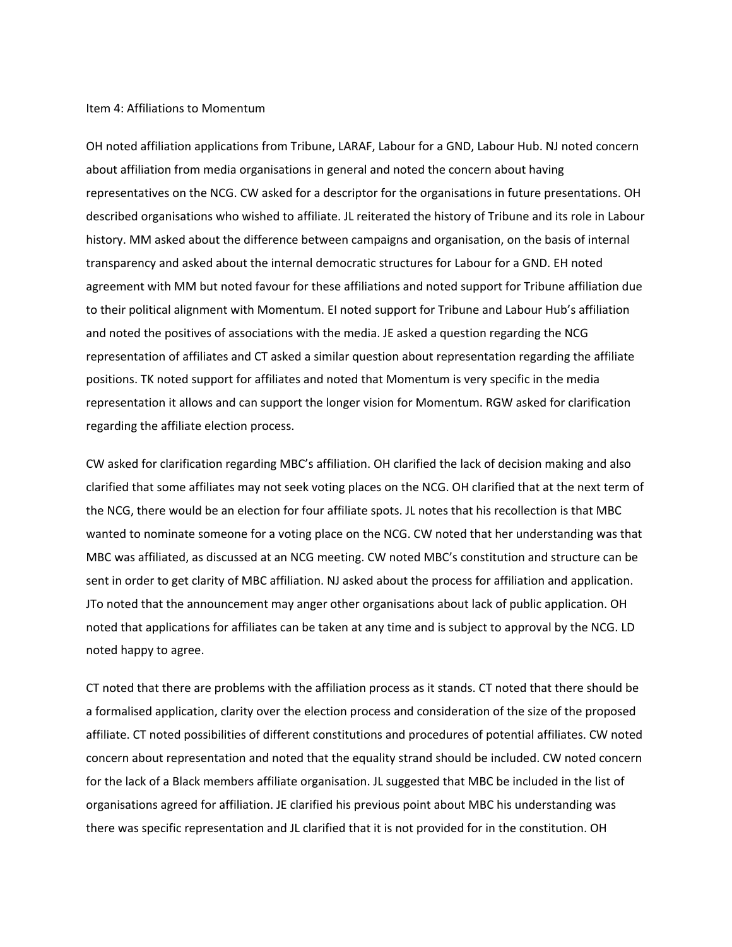## Item 4: Affiliations to Momentum

OH noted affiliation applications from Tribune, LARAF, Labour for a GND, Labour Hub. NJ noted concern about affiliation from media organisations in general and noted the concern about having representatives on the NCG. CW asked for a descriptor for the organisations in future presentations. OH described organisations who wished to affiliate. JL reiterated the history of Tribune and its role in Labour history. MM asked about the difference between campaigns and organisation, on the basis of internal transparency and asked about the internal democratic structures for Labour for a GND. EH noted agreement with MM but noted favour for these affiliations and noted support for Tribune affiliation due to their political alignment with Momentum. EI noted support for Tribune and Labour Hub's affiliation and noted the positives of associations with the media. JE asked a question regarding the NCG representation of affiliates and CT asked a similar question about representation regarding the affiliate positions. TK noted support for affiliates and noted that Momentum is very specific in the media representation it allows and can support the longer vision for Momentum. RGW asked for clarification regarding the affiliate election process.

CW asked for clarification regarding MBC's affiliation. OH clarified the lack of decision making and also clarified that some affiliates may not seek voting places on the NCG. OH clarified that at the next term of the NCG, there would be an election for four affiliate spots. JL notes that his recollection is that MBC wanted to nominate someone for a voting place on the NCG. CW noted that her understanding was that MBC was affiliated, as discussed at an NCG meeting. CW noted MBC's constitution and structure can be sent in order to get clarity of MBC affiliation. NJ asked about the process for affiliation and application. JTo noted that the announcement may anger other organisations about lack of public application. OH noted that applications for affiliates can be taken at any time and is subject to approval by the NCG. LD noted happy to agree.

CT noted that there are problems with the affiliation process as it stands. CT noted that there should be a formalised application, clarity over the election process and consideration of the size of the proposed affiliate. CT noted possibilities of different constitutions and procedures of potential affiliates. CW noted concern about representation and noted that the equality strand should be included. CW noted concern for the lack of a Black members affiliate organisation. JL suggested that MBC be included in the list of organisations agreed for affiliation. JE clarified his previous point about MBC his understanding was there was specific representation and JL clarified that it is not provided for in the constitution. OH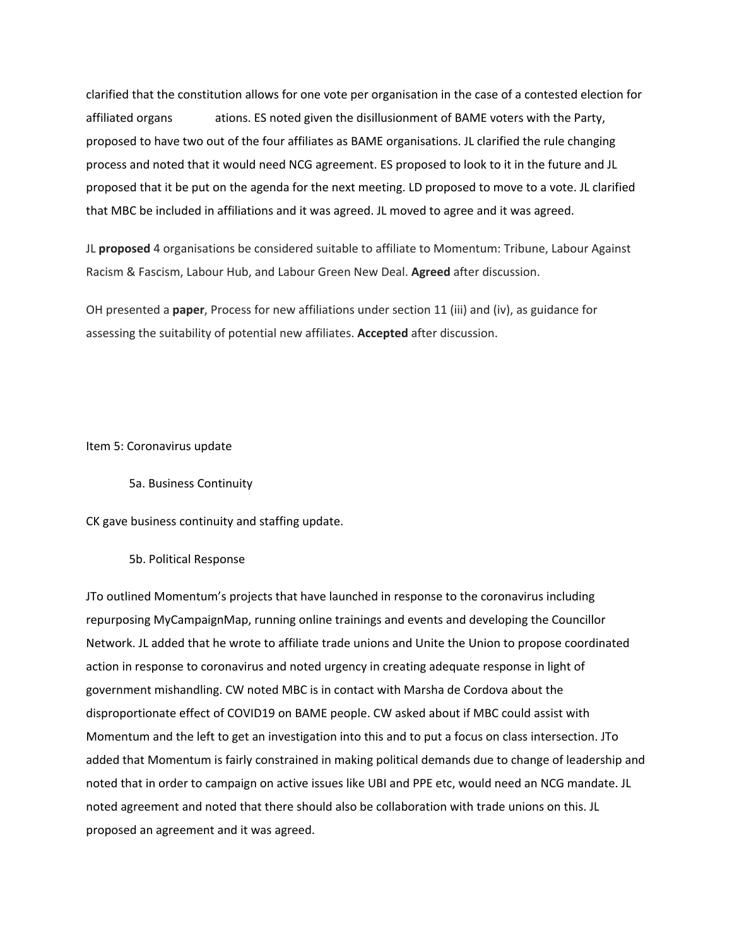clarified that the constitution allows for one vote per organisation in the case of a contested election for affiliated organs ations. ES noted given the disillusionment of BAME voters with the Party, proposed to have two out of the four affiliates as BAME organisations. JL clarified the rule changing process and noted that it would need NCG agreement. ES proposed to look to it in the future and JL proposed that it be put on the agenda for the next meeting. LD proposed to move to a vote. JL clarified that MBC be included in affiliations and it was agreed. JL moved to agree and it was agreed.

JL **proposed** 4 organisations be considered suitable to affiliate to Momentum: Tribune, Labour Against Racism & Fascism, Labour Hub, and Labour Green New Deal. **Agreed** after discussion.

OH presented a **paper**, Process for new affiliations under section 11 (iii) and (iv), as guidance for assessing the suitability of potential new affiliates. **Accepted** after discussion.

Item 5: Coronavirus update

5a. Business Continuity

CK gave business continuity and staffing update.

5b. Political Response

JTo outlined Momentum's projects that have launched in response to the coronavirus including repurposing MyCampaignMap, running online trainings and events and developing the Councillor Network. JL added that he wrote to affiliate trade unions and Unite the Union to propose coordinated action in response to coronavirus and noted urgency in creating adequate response in light of government mishandling. CW noted MBC is in contact with Marsha de Cordova about the disproportionate effect of COVID19 on BAME people. CW asked about if MBC could assist with Momentum and the left to get an investigation into this and to put a focus on class intersection. JTo added that Momentum is fairly constrained in making political demands due to change of leadership and noted that in order to campaign on active issues like UBI and PPE etc, would need an NCG mandate. JL noted agreement and noted that there should also be collaboration with trade unions on this. JL proposed an agreement and it was agreed.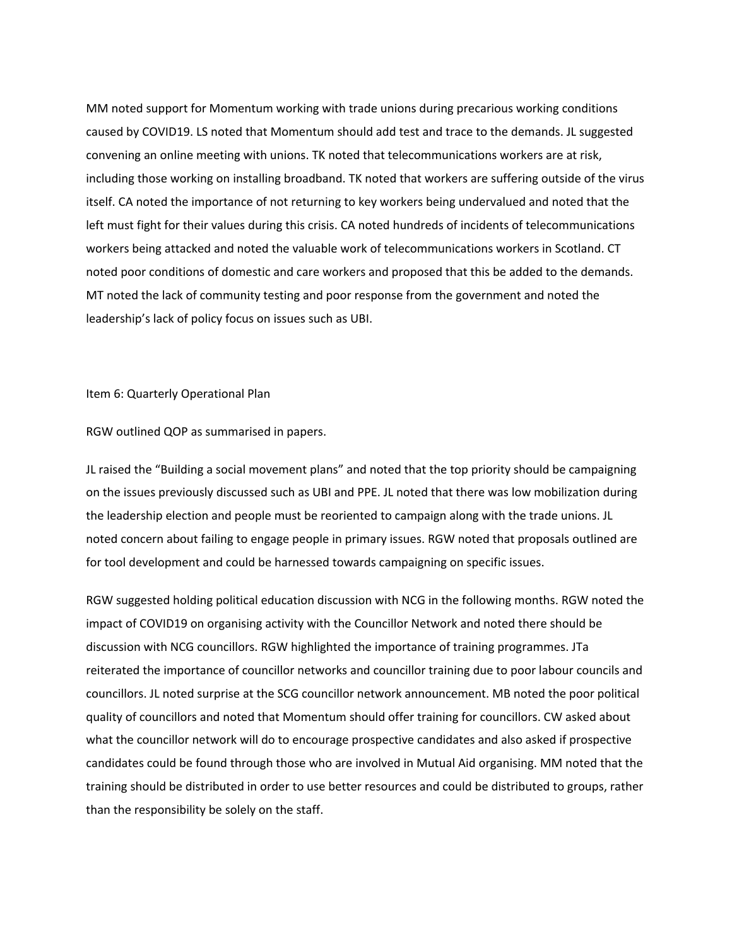MM noted support for Momentum working with trade unions during precarious working conditions caused by COVID19. LS noted that Momentum should add test and trace to the demands. JL suggested convening an online meeting with unions. TK noted that telecommunications workers are at risk, including those working on installing broadband. TK noted that workers are suffering outside of the virus itself. CA noted the importance of not returning to key workers being undervalued and noted that the left must fight for their values during this crisis. CA noted hundreds of incidents of telecommunications workers being attacked and noted the valuable work of telecommunications workers in Scotland. CT noted poor conditions of domestic and care workers and proposed that this be added to the demands. MT noted the lack of community testing and poor response from the government and noted the leadership's lack of policy focus on issues such as UBI.

#### Item 6: Quarterly Operational Plan

RGW outlined QOP as summarised in papers.

JL raised the "Building a social movement plans" and noted that the top priority should be campaigning on the issues previously discussed such as UBI and PPE. JL noted that there was low mobilization during the leadership election and people must be reoriented to campaign along with the trade unions. JL noted concern about failing to engage people in primary issues. RGW noted that proposals outlined are for tool development and could be harnessed towards campaigning on specific issues.

RGW suggested holding political education discussion with NCG in the following months. RGW noted the impact of COVID19 on organising activity with the Councillor Network and noted there should be discussion with NCG councillors. RGW highlighted the importance of training programmes. JTa reiterated the importance of councillor networks and councillor training due to poor labour councils and councillors. JL noted surprise at the SCG councillor network announcement. MB noted the poor political quality of councillors and noted that Momentum should offer training for councillors. CW asked about what the councillor network will do to encourage prospective candidates and also asked if prospective candidates could be found through those who are involved in Mutual Aid organising. MM noted that the training should be distributed in order to use better resources and could be distributed to groups, rather than the responsibility be solely on the staff.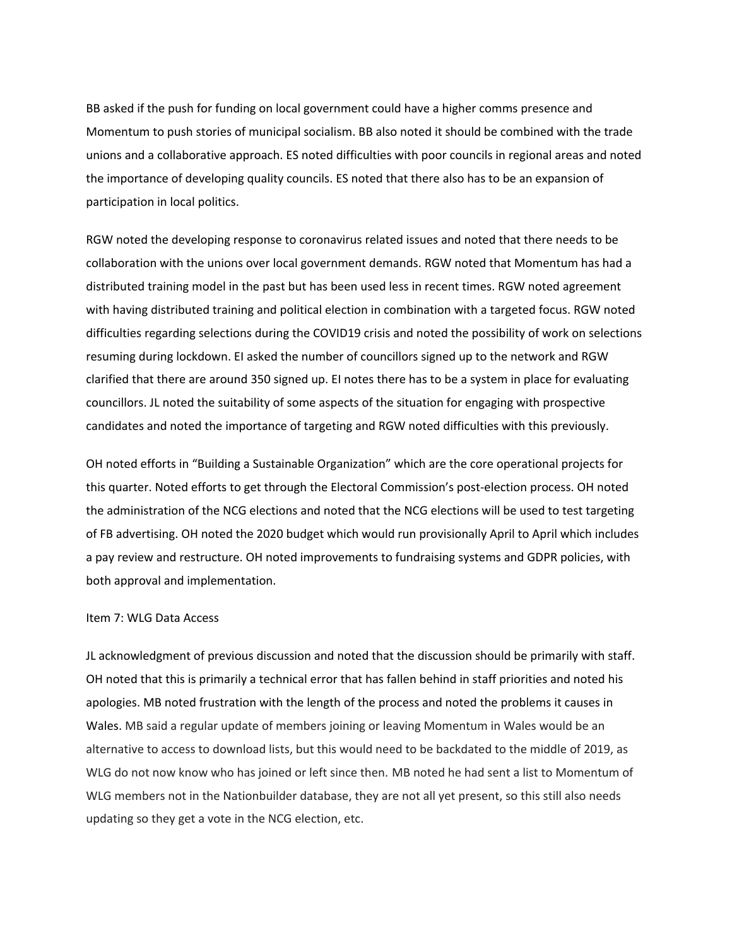BB asked if the push for funding on local government could have a higher comms presence and Momentum to push stories of municipal socialism. BB also noted it should be combined with the trade unions and a collaborative approach. ES noted difficulties with poor councils in regional areas and noted the importance of developing quality councils. ES noted that there also has to be an expansion of participation in local politics.

RGW noted the developing response to coronavirus related issues and noted that there needs to be collaboration with the unions over local government demands. RGW noted that Momentum has had a distributed training model in the past but has been used less in recent times. RGW noted agreement with having distributed training and political election in combination with a targeted focus. RGW noted difficulties regarding selections during the COVID19 crisis and noted the possibility of work on selections resuming during lockdown. EI asked the number of councillors signed up to the network and RGW clarified that there are around 350 signed up. EI notes there has to be a system in place for evaluating councillors. JL noted the suitability of some aspects of the situation for engaging with prospective candidates and noted the importance of targeting and RGW noted difficulties with this previously.

OH noted efforts in "Building a Sustainable Organization" which are the core operational projects for this quarter. Noted efforts to get through the Electoral Commission's post-election process. OH noted the administration of the NCG elections and noted that the NCG elections will be used to test targeting of FB advertising. OH noted the 2020 budget which would run provisionally April to April which includes a pay review and restructure. OH noted improvements to fundraising systems and GDPR policies, with both approval and implementation.

#### Item 7: WLG Data Access

JL acknowledgment of previous discussion and noted that the discussion should be primarily with staff. OH noted that this is primarily a technical error that has fallen behind in staff priorities and noted his apologies. MB noted frustration with the length of the process and noted the problems it causes in Wales. MB said a regular update of members joining or leaving Momentum in Wales would be an alternative to access to download lists, but this would need to be backdated to the middle of 2019, as WLG do not now know who has joined or left since then. MB noted he had sent a list to Momentum of WLG members not in the Nationbuilder database, they are not all yet present, so this still also needs updating so they get a vote in the NCG election, etc.